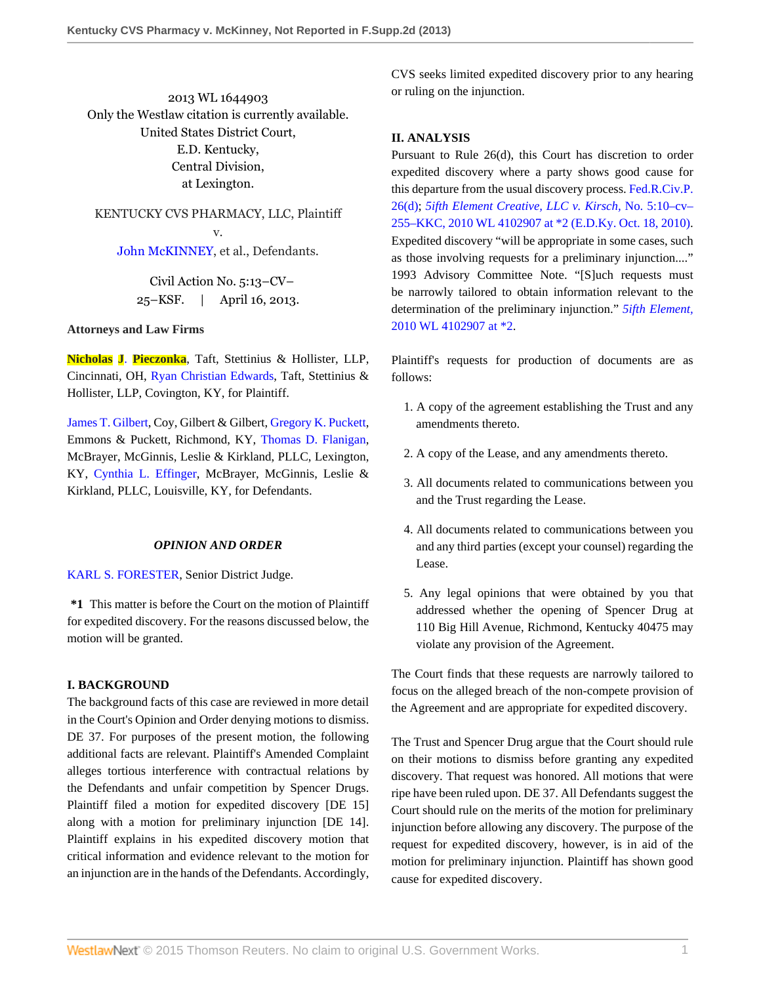2013 WL 1644903 Only the Westlaw citation is currently available. United States District Court, E.D. Kentucky, Central Division, at Lexington.

KENTUCKY CVS PHARMACY, LLC, Plaintiff v. [John McKINNEY,](http://www.westlaw.com/Search/Results.html?query=advanced%3a+OAID(5005088300)&saveJuris=False&contentType=BUSINESS-INVESTIGATOR&startIndex=1&contextData=(sc.Default)&categoryPageUrl=Home%2fCompanyInvestigator&originationContext=document&vr=3.0&rs=cblt1.0&transitionType=DocumentItem) et al., Defendants.

> Civil Action No. 5:13–CV– 25–KSF. | April 16, 2013.

#### **Attorneys and Law Firms**

**Nicholas J**. **[Pieczonka](http://www.westlaw.com/Link/Document/FullText?findType=h&pubNum=176284&cite=0462963301&originatingDoc=I50cf2041a7ef11e28500bda794601919&refType=RQ&originationContext=document&vr=3.0&rs=cblt1.0&transitionType=DocumentItem&contextData=(sc.Search))**, Taft, Stettinius & Hollister, LLP, Cincinnati, OH, [Ryan Christian Edwards](http://www.westlaw.com/Link/Document/FullText?findType=h&pubNum=176284&cite=0330378801&originatingDoc=I50cf2041a7ef11e28500bda794601919&refType=RQ&originationContext=document&vr=3.0&rs=cblt1.0&transitionType=DocumentItem&contextData=(sc.Search)), Taft, Stettinius & Hollister, LLP, Covington, KY, for Plaintiff.

[James T. Gilbert](http://www.westlaw.com/Link/Document/FullText?findType=h&pubNum=176284&cite=0168143801&originatingDoc=I50cf2041a7ef11e28500bda794601919&refType=RQ&originationContext=document&vr=3.0&rs=cblt1.0&transitionType=DocumentItem&contextData=(sc.Search)), Coy, Gilbert & Gilbert, [Gregory K. Puckett,](http://www.westlaw.com/Link/Document/FullText?findType=h&pubNum=176284&cite=0333162901&originatingDoc=I50cf2041a7ef11e28500bda794601919&refType=RQ&originationContext=document&vr=3.0&rs=cblt1.0&transitionType=DocumentItem&contextData=(sc.Search)) Emmons & Puckett, Richmond, KY, [Thomas D. Flanigan](http://www.westlaw.com/Link/Document/FullText?findType=h&pubNum=176284&cite=0330352301&originatingDoc=I50cf2041a7ef11e28500bda794601919&refType=RQ&originationContext=document&vr=3.0&rs=cblt1.0&transitionType=DocumentItem&contextData=(sc.Search)), McBrayer, McGinnis, Leslie & Kirkland, PLLC, Lexington, KY, [Cynthia L. Effinger](http://www.westlaw.com/Link/Document/FullText?findType=h&pubNum=176284&cite=0308373701&originatingDoc=I50cf2041a7ef11e28500bda794601919&refType=RQ&originationContext=document&vr=3.0&rs=cblt1.0&transitionType=DocumentItem&contextData=(sc.Search)), McBrayer, McGinnis, Leslie & Kirkland, PLLC, Louisville, KY, for Defendants.

### *OPINION AND ORDER*

[KARL S. FORESTER](http://www.westlaw.com/Link/Document/FullText?findType=h&pubNum=176284&cite=0246414101&originatingDoc=I50cf2041a7ef11e28500bda794601919&refType=RQ&originationContext=document&vr=3.0&rs=cblt1.0&transitionType=DocumentItem&contextData=(sc.Search)), Senior District Judge.

**\*1** This matter is before the Court on the motion of Plaintiff for expedited discovery. For the reasons discussed below, the motion will be granted.

#### **I. BACKGROUND**

The background facts of this case are reviewed in more detail in the Court's Opinion and Order denying motions to dismiss. DE 37. For purposes of the present motion, the following additional facts are relevant. Plaintiff's Amended Complaint alleges tortious interference with contractual relations by the Defendants and unfair competition by Spencer Drugs. Plaintiff filed a motion for expedited discovery [DE 15] along with a motion for preliminary injunction [DE 14]. Plaintiff explains in his expedited discovery motion that critical information and evidence relevant to the motion for an injunction are in the hands of the Defendants. Accordingly,

CVS seeks limited expedited discovery prior to any hearing or ruling on the injunction.

#### **II. ANALYSIS**

Pursuant to Rule 26(d), this Court has discretion to order expedited discovery where a party shows good cause for this departure from the usual discovery process. [Fed.R.Civ.P.](http://www.westlaw.com/Link/Document/FullText?findType=L&pubNum=1004365&cite=USFRCPR26&originatingDoc=I50cf2041a7ef11e28500bda794601919&refType=LQ&originationContext=document&vr=3.0&rs=cblt1.0&transitionType=DocumentItem&contextData=(sc.Search)) [26\(d\);](http://www.westlaw.com/Link/Document/FullText?findType=L&pubNum=1004365&cite=USFRCPR26&originatingDoc=I50cf2041a7ef11e28500bda794601919&refType=LQ&originationContext=document&vr=3.0&rs=cblt1.0&transitionType=DocumentItem&contextData=(sc.Search)) *[5ifth Element Creative, LLC v. Kirsch,](http://www.westlaw.com/Link/Document/FullText?findType=Y&serNum=2023415867&pubNum=0000999&originatingDoc=I50cf2041a7ef11e28500bda794601919&refType=RP&originationContext=document&vr=3.0&rs=cblt1.0&transitionType=DocumentItem&contextData=(sc.Search))* No. 5:10–cv– [255–KKC, 2010 WL 4102907 at \\*2 \(E.D.Ky. Oct. 18, 2010\).](http://www.westlaw.com/Link/Document/FullText?findType=Y&serNum=2023415867&pubNum=0000999&originatingDoc=I50cf2041a7ef11e28500bda794601919&refType=RP&originationContext=document&vr=3.0&rs=cblt1.0&transitionType=DocumentItem&contextData=(sc.Search)) Expedited discovery "will be appropriate in some cases, such as those involving requests for a preliminary injunction...." 1993 Advisory Committee Note. "[S]uch requests must be narrowly tailored to obtain information relevant to the determination of the preliminary injunction." *[5ifth Element,](http://www.westlaw.com/Link/Document/FullText?findType=Y&serNum=2023415867&pubNum=999&originatingDoc=I50cf2041a7ef11e28500bda794601919&refType=RP&originationContext=document&vr=3.0&rs=cblt1.0&transitionType=DocumentItem&contextData=(sc.Search))* [2010 WL 4102907 at \\*2.](http://www.westlaw.com/Link/Document/FullText?findType=Y&serNum=2023415867&pubNum=999&originatingDoc=I50cf2041a7ef11e28500bda794601919&refType=RP&originationContext=document&vr=3.0&rs=cblt1.0&transitionType=DocumentItem&contextData=(sc.Search))

Plaintiff's requests for production of documents are as follows:

- 1. A copy of the agreement establishing the Trust and any amendments thereto.
- 2. A copy of the Lease, and any amendments thereto.
- 3. All documents related to communications between you and the Trust regarding the Lease.
- 4. All documents related to communications between you and any third parties (except your counsel) regarding the Lease.
- 5. Any legal opinions that were obtained by you that addressed whether the opening of Spencer Drug at 110 Big Hill Avenue, Richmond, Kentucky 40475 may violate any provision of the Agreement.

The Court finds that these requests are narrowly tailored to focus on the alleged breach of the non-compete provision of the Agreement and are appropriate for expedited discovery.

The Trust and Spencer Drug argue that the Court should rule on their motions to dismiss before granting any expedited discovery. That request was honored. All motions that were ripe have been ruled upon. DE 37. All Defendants suggest the Court should rule on the merits of the motion for preliminary injunction before allowing any discovery. The purpose of the request for expedited discovery, however, is in aid of the motion for preliminary injunction. Plaintiff has shown good cause for expedited discovery.